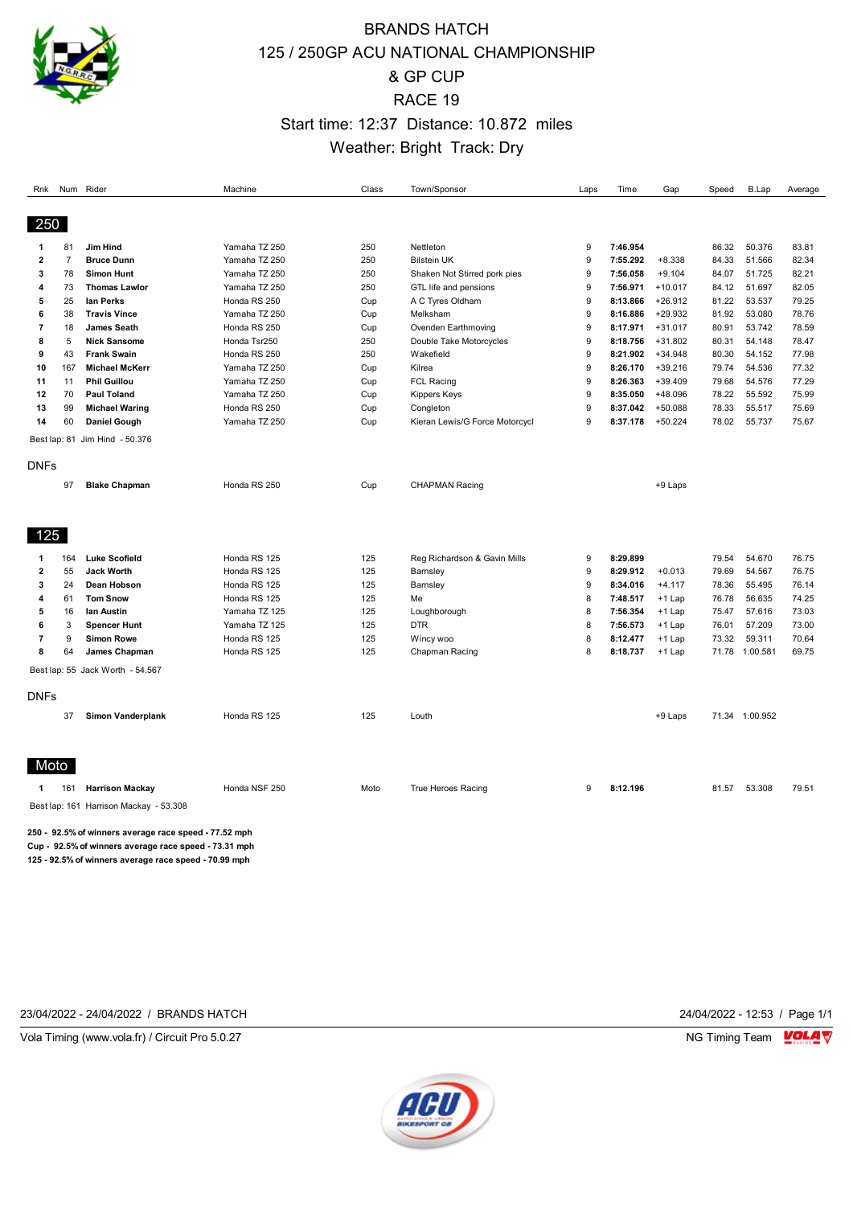

## BRANDS HATCH 125 / 250GP ACU NATIONAL CHAMPIONSHIP & GP CUP RACE 19 Start time: 12:37 Distance: 10.872 miles Weather: Bright Track: Dry

| Rnk                                    |                                                       | Num Rider                        | Machine       | Class | Town/Sponsor                   | Laps | Time     | Gap       | Speed | B.Lap          | Average |
|----------------------------------------|-------------------------------------------------------|----------------------------------|---------------|-------|--------------------------------|------|----------|-----------|-------|----------------|---------|
|                                        |                                                       |                                  |               |       |                                |      |          |           |       |                |         |
| 250                                    |                                                       |                                  |               |       |                                |      |          |           |       |                |         |
| 1                                      | 81                                                    | Jim Hind                         | Yamaha TZ 250 | 250   | Nettleton                      | 9    | 7:46.954 |           | 86.32 | 50.376         | 83.81   |
| $\mathbf{2}$                           | $\overline{7}$                                        | <b>Bruce Dunn</b>                | Yamaha TZ 250 | 250   | <b>Bilstein UK</b>             | 9    | 7:55.292 | $+8.338$  | 84.33 | 51.566         | 82.34   |
| 3                                      | 78                                                    | <b>Simon Hunt</b>                | Yamaha TZ 250 | 250   | Shaken Not Stirred pork pies   | 9    | 7:56.058 | $+9.104$  | 84.07 | 51.725         | 82.21   |
| 4                                      | 73                                                    | <b>Thomas Lawlor</b>             | Yamaha TZ 250 | 250   | GTL life and pensions          | 9    | 7:56.971 | $+10.017$ | 84.12 | 51.697         | 82.05   |
| 5                                      | 25                                                    | lan Perks                        | Honda RS 250  | Cup   | A C Tyres Oldham               | 9    | 8:13.866 | $+26.912$ | 81.22 | 53.537         | 79.25   |
| 6                                      | 38                                                    | <b>Travis Vince</b>              | Yamaha TZ 250 | Cup   | Melksham                       | 9    | 8:16.886 | $+29.932$ | 81.92 | 53.080         | 78.76   |
| 7                                      | 18                                                    | <b>James Seath</b>               | Honda RS 250  | Cup   | Ovenden Earthmoving            | 9    | 8:17.971 | $+31.017$ | 80.91 | 53.742         | 78.59   |
| 8                                      | 5                                                     | <b>Nick Sansome</b>              | Honda Tsr250  | 250   | Double Take Motorcycles        | 9    | 8:18.756 | $+31.802$ | 80.31 | 54.148         | 78.47   |
| 9                                      | 43                                                    | <b>Frank Swain</b>               | Honda RS 250  | 250   | Wakefield                      | 9    | 8:21.902 | $+34.948$ | 80.30 | 54.152         | 77.98   |
| 10                                     | 167                                                   | <b>Michael McKerr</b>            | Yamaha TZ 250 | Cup   | Kilrea                         | 9    | 8:26.170 | $+39.216$ | 79.74 | 54.536         | 77.32   |
| 11                                     | 11                                                    | <b>Phil Guillou</b>              | Yamaha TZ 250 | Cup   | <b>FCL Racing</b>              | 9    | 8:26.363 | $+39.409$ | 79.68 | 54.576         | 77.29   |
| 12                                     | 70                                                    | <b>Paul Toland</b>               | Yamaha TZ 250 | Cup   | <b>Kippers Keys</b>            | 9    | 8:35.050 | +48.096   | 78.22 | 55.592         | 75.99   |
| 13                                     | 99                                                    | <b>Michael Waring</b>            | Honda RS 250  | Cup   | Congleton                      | 9    | 8:37.042 | $+50.088$ | 78.33 | 55.517         | 75.69   |
| 14                                     | 60                                                    | <b>Daniel Gough</b>              | Yamaha TZ 250 | Cup   | Kieran Lewis/G Force Motorcycl | 9    | 8:37.178 | $+50.224$ | 78.02 | 55.737         | 75.67   |
|                                        |                                                       | Best lap: 81 Jim Hind - 50.376   |               |       |                                |      |          |           |       |                |         |
| <b>DNFs</b>                            |                                                       |                                  |               |       |                                |      |          |           |       |                |         |
|                                        |                                                       |                                  |               |       |                                |      |          |           |       |                |         |
|                                        | 97                                                    | <b>Blake Chapman</b>             | Honda RS 250  | Cup   | <b>CHAPMAN Racing</b>          |      |          | +9 Laps   |       |                |         |
|                                        |                                                       |                                  |               |       |                                |      |          |           |       |                |         |
| 125                                    |                                                       |                                  |               |       |                                |      |          |           |       |                |         |
| 1                                      | 164                                                   | <b>Luke Scofield</b>             | Honda RS 125  | 125   | Reg Richardson & Gavin Mills   | 9    | 8:29.899 |           | 79.54 | 54.670         | 76.75   |
| $\mathbf{2}$                           | 55                                                    | <b>Jack Worth</b>                | Honda RS 125  | 125   | Barnsley                       | 9    | 8:29.912 | $+0.013$  | 79.69 | 54.567         | 76.75   |
| 3                                      | 24                                                    | Dean Hobson                      | Honda RS 125  | 125   | Barnsley                       | 9    | 8:34.016 | $+4.117$  | 78.36 | 55.495         | 76.14   |
| 4                                      | 61                                                    | <b>Tom Snow</b>                  | Honda RS 125  | 125   | Me                             | 8    | 7:48.517 | $+1$ Lap  | 76.78 | 56.635         | 74.25   |
| 5                                      | 16                                                    | lan Austin                       | Yamaha TZ 125 | 125   | Loughborough                   | 8    | 7:56.354 | $+1$ Lap  | 75.47 | 57.616         | 73.03   |
| 6                                      | 3                                                     | <b>Spencer Hunt</b>              | Yamaha TZ 125 | 125   | <b>DTR</b>                     | 8    | 7:56.573 | $+1$ Lap  | 76.01 | 57.209         | 73.00   |
| $\overline{7}$                         | 9                                                     | <b>Simon Rowe</b>                | Honda RS 125  | 125   | Wincy woo                      | 8    | 8:12.477 | $+1$ Lap  | 73.32 | 59.311         | 70.64   |
| 8                                      | 64                                                    | James Chapman                    | Honda RS 125  | 125   | Chapman Racing                 | 8    | 8:18.737 | $+1$ Lap  | 71.78 | 1:00.581       | 69.75   |
|                                        |                                                       | Best lap: 55 Jack Worth - 54.567 |               |       |                                |      |          |           |       |                |         |
| <b>DNFs</b>                            |                                                       |                                  |               |       |                                |      |          |           |       |                |         |
|                                        | 37                                                    | Simon Vanderplank                | Honda RS 125  | 125   | Louth                          |      |          | +9 Laps   |       | 71.34 1:00.952 |         |
|                                        |                                                       |                                  |               |       |                                |      |          |           |       |                |         |
|                                        |                                                       |                                  |               |       |                                |      |          |           |       |                |         |
| Moto                                   |                                                       |                                  |               |       |                                |      |          |           |       |                |         |
| 1                                      | 161                                                   | <b>Harrison Mackay</b>           | Honda NSF 250 | Moto  | True Heroes Racing             | 9    | 8:12.196 |           | 81.57 | 53.308         | 79.51   |
| Best lap: 161 Harrison Mackay - 53.308 |                                                       |                                  |               |       |                                |      |          |           |       |                |         |
|                                        | 250 - 92.5% of winners average race speed - 77.52 mph |                                  |               |       |                                |      |          |           |       |                |         |

**Cup - 92.5% of winners average race speed - 73.31 mph 125 - 92.5% of winners average race speed - 70.99 mph**

23/04/2022 - 24/04/2022 / BRANDS HATCH 24/04/2022 - 12:53 / Page 1/1

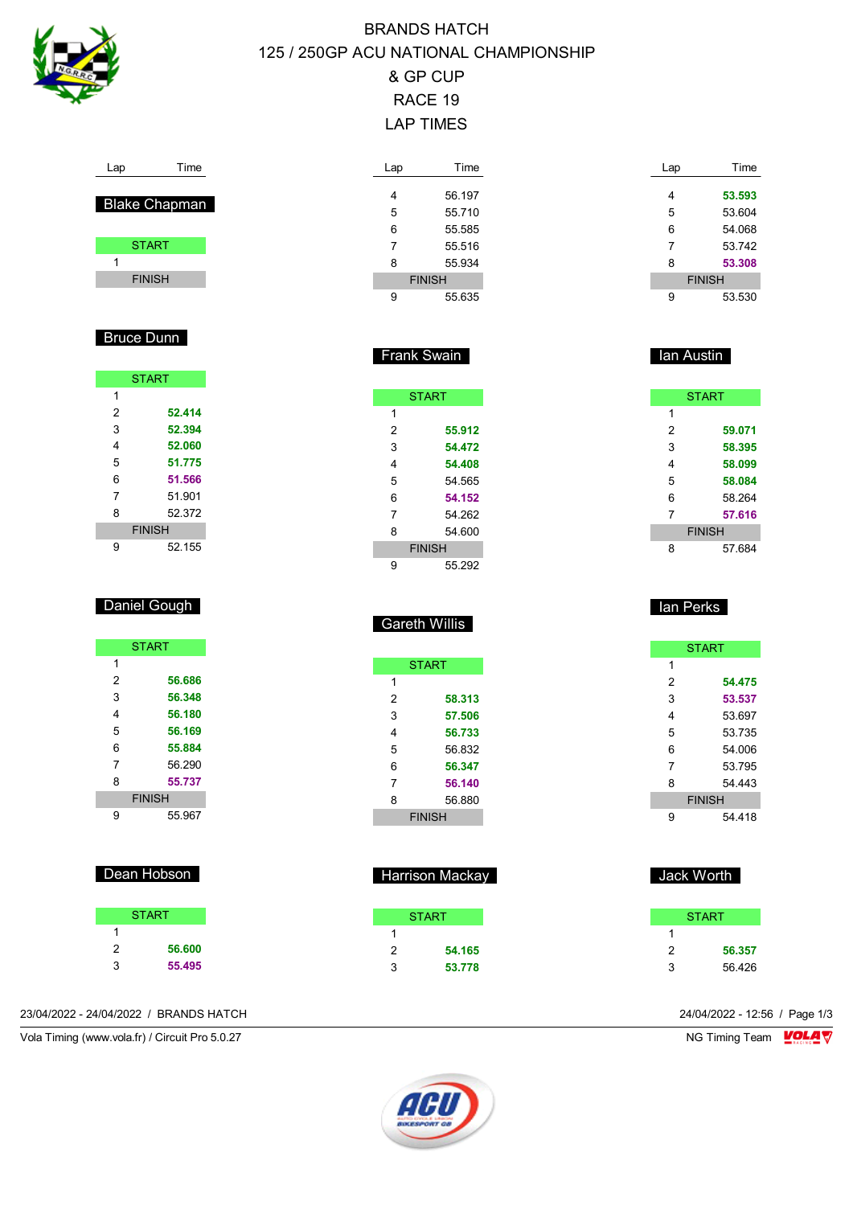

## BRANDS HATCH 125 / 250GP ACU NATIONAL CHAMPIONSHIP & GP CUP RACE 19 LAP TIMES

| ⊶ |
|---|
|   |

## Blake Chapman

| <b>START</b>  |  |
|---------------|--|
|               |  |
| <b>FINISH</b> |  |

### Bruce Dunn

|   | <b>START</b>  |
|---|---------------|
| 1 |               |
| 2 | 52.414        |
| 3 | 52.394        |
| 4 | 52.060        |
| 5 | 51.775        |
| 6 | 51.566        |
| 7 | 51.901        |
| 8 | 52372         |
|   | <b>FINISH</b> |
| g | 52 155        |

### Daniel Gough

|   | <b>START</b>  |
|---|---------------|
| 1 |               |
| 2 | 56.686        |
| 3 | 56.348        |
| 4 | 56.180        |
| 5 | 56.169        |
| 6 | 55.884        |
| 7 | 56 290        |
| 8 | 55.737        |
|   | <b>FINISH</b> |
| g | 55 967        |

## Dean Hobson

| <b>START</b> |        |  |
|--------------|--------|--|
|              |        |  |
| 2            | 56.600 |  |
| 3            | 55.495 |  |

| Lap           | Time   |  |
|---------------|--------|--|
|               |        |  |
| 4             | 56.197 |  |
| 5             | 55.710 |  |
| 6             | 55.585 |  |
| 7             | 55.516 |  |
| 8             | 55.934 |  |
| <b>FINISH</b> |        |  |
|               | 55.635 |  |

| ັ | ວວ.ບ |
|---|------|
|   |      |
|   |      |

Frank Swain

| <b>START</b>  |  |
|---------------|--|
| 1             |  |
| 2<br>55.912   |  |
| 3<br>54.472   |  |
| 4<br>54.408   |  |
| 5<br>54.565   |  |
| 6<br>54.152   |  |
| 7<br>54 262   |  |
| 54.600<br>8   |  |
| <b>FINISH</b> |  |
| 55 292<br>g   |  |

## Gareth Willis

| <b>START</b>  |        |  |
|---------------|--------|--|
| 1             |        |  |
| 2             | 58.313 |  |
| 3             | 57.506 |  |
| 4             | 56.733 |  |
| 5             | 56.832 |  |
| 6             | 56.347 |  |
| 7             | 56.140 |  |
| 8             | 56.880 |  |
| <b>FINISH</b> |        |  |

| <b>Harrison Mackay</b><br>п |        |  |  |
|-----------------------------|--------|--|--|
|                             | START  |  |  |
|                             |        |  |  |
| 2                           | 54.165 |  |  |
| 3                           | 53.778 |  |  |

| Lap | Time          |
|-----|---------------|
|     |               |
| 4   | 53.593        |
| 5   | 53.604        |
| 6   | 54.068        |
| 7   | 53742         |
| 8   | 53.308        |
|     | <b>FINISH</b> |
| 9   | 53.530        |

### **Ian Austin**

| <b>START</b>  |        |  |
|---------------|--------|--|
| 1             |        |  |
| 2             | 59.071 |  |
| 3             | 58.395 |  |
| 4             | 58.099 |  |
| 5             | 58.084 |  |
| 6             | 58.264 |  |
| 7             | 57.616 |  |
| <b>FINISH</b> |        |  |
| 8             | 57.684 |  |

### Ian Perks

|               | <b>START</b> |  |
|---------------|--------------|--|
| 1             |              |  |
| 2             | 54.475       |  |
| 3             | 53.537       |  |
| 4             | 53.697       |  |
| 5             | 53 735       |  |
| 6             | 54 006       |  |
| 7             | 53.795       |  |
| 8             | 54 443       |  |
| <b>FINISH</b> |              |  |
| 9             | 54 418       |  |

## Jack Worth **START**  $\overline{1}$  **56.357** 56.426



23/04/2022 - 24/04/2022 / BRANDS HATCH 24/04/2022 - 12:56 / Page 1/3

Vola Timing (www.vola.fr) / Circuit Pro 5.0.27 NG Timing Team Monetary NG Timing Team Monetary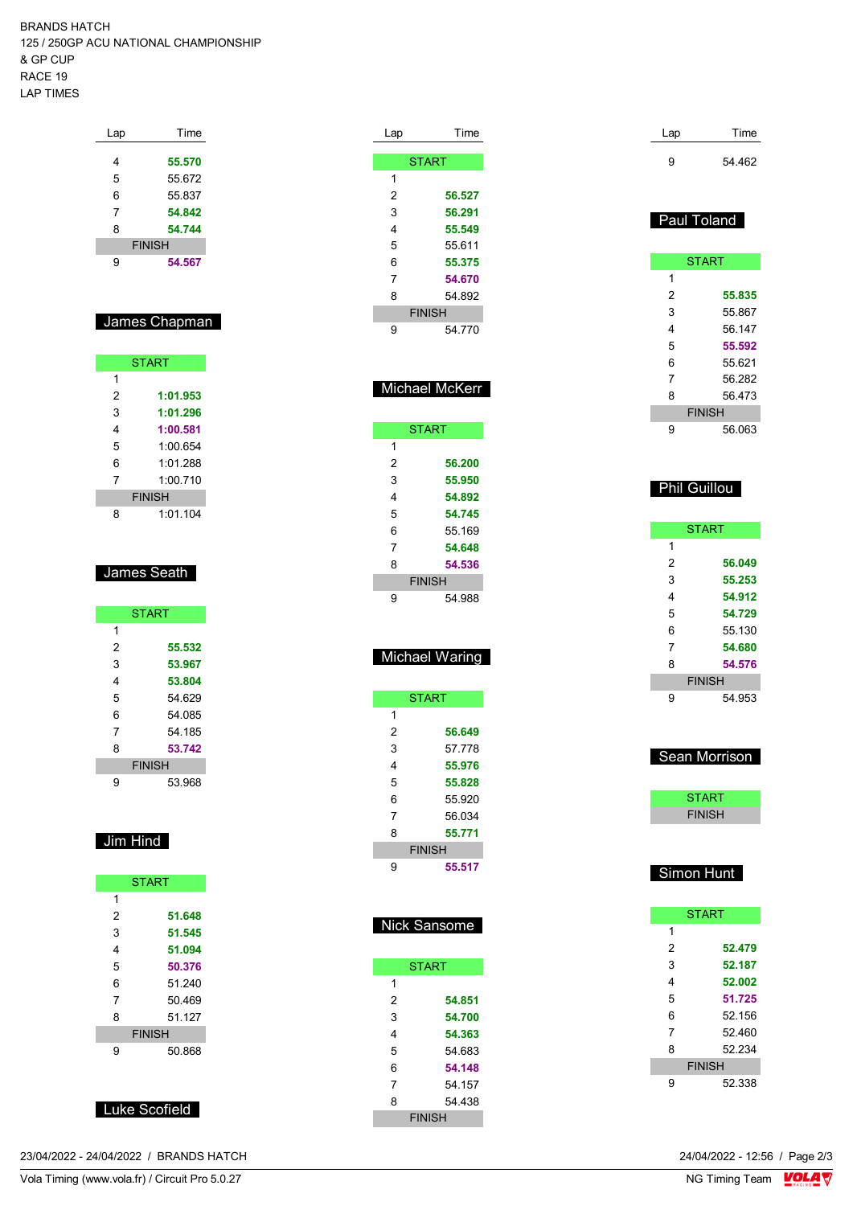BRANDS HATCH 125 / 250GP ACU NATIONAL CHAMPIONSHIP & GP CUP RACE 19 LAP TIMES

| Lap           | Time   |  |
|---------------|--------|--|
|               |        |  |
| 4             | 55.570 |  |
| 5             | 55.672 |  |
| 6             | 55.837 |  |
| 7             | 54.842 |  |
| 8             | 54.744 |  |
| <b>FINISH</b> |        |  |
| g             | 54.567 |  |
|               |        |  |

# James Chapman

| <b>START</b>  |          |  |
|---------------|----------|--|
| 1             |          |  |
| 2             | 1:01.953 |  |
| 3             | 1:01.296 |  |
| 4             | 1:00.581 |  |
| 5             | 1:00.654 |  |
| 6             | 1.01288  |  |
| 7             | 1:00710  |  |
| <b>FINISH</b> |          |  |
| 8             | 1:01.104 |  |

#### James Seath

| <b>START</b>  |        |  |
|---------------|--------|--|
| 1             |        |  |
| 2             | 55.532 |  |
| 3             | 53.967 |  |
| 4             | 53.804 |  |
| 5             | 54.629 |  |
| 6             | 54 085 |  |
| 7             | 54.185 |  |
| 8             | 53.742 |  |
| <b>FINISH</b> |        |  |
| g             | 53.968 |  |

# Jim Hind

| <b>START</b>  |        |  |
|---------------|--------|--|
| 1             |        |  |
| 2             | 51.648 |  |
| 3             | 51.545 |  |
| 4             | 51.094 |  |
| 5             | 50.376 |  |
| 6             | 51 240 |  |
| 7             | 50.469 |  |
| 8             | 51 127 |  |
| <b>FINISH</b> |        |  |
| 9             | 50.868 |  |

Luke Scofield

| 23/04/2022 - 24/04/2022 / BRANDS HATCH | 24/04/2022 - 12:56 / Page 2/3<br>. |
|----------------------------------------|------------------------------------|
|----------------------------------------|------------------------------------|

| Lap           | Time         |  |
|---------------|--------------|--|
|               |              |  |
|               | <b>START</b> |  |
| 1             |              |  |
| 2             | 56.527       |  |
| 3             | 56.291       |  |
| 4             | 55.549       |  |
| 5             | 55.611       |  |
| 6             | 55.375       |  |
| 7             | 54.670       |  |
| 8             | 54.892       |  |
| <b>FINISH</b> |              |  |
| 9             | 54.770       |  |
|               |              |  |

### Michael McKerr

| <b>START</b>  |        |  |
|---------------|--------|--|
| 1             |        |  |
| 2             | 56.200 |  |
| 3             | 55.950 |  |
| 4             | 54.892 |  |
| 5             | 54.745 |  |
| 6             | 55.169 |  |
| 7             | 54.648 |  |
| 8             | 54.536 |  |
| <b>FINISH</b> |        |  |
| 9             | 54 988 |  |

### Michael Waring

| <b>START</b>  |        |  |
|---------------|--------|--|
| 1             |        |  |
| 2             | 56.649 |  |
| 3             | 57 778 |  |
| 4             | 55.976 |  |
| 5             | 55.828 |  |
| 6             | 55.920 |  |
| 7             | 56 034 |  |
| 8             | 55.771 |  |
| <b>FINISH</b> |        |  |
| g             | 55.517 |  |

| <b>Nick Sansome</b> |              |  |
|---------------------|--------------|--|
|                     | <b>START</b> |  |
| 1                   |              |  |
| 2                   | 54.851       |  |
| 3                   | 54.700       |  |
| 4                   | 54.363       |  |
| 5                   | 54 683       |  |
| 6                   | 54.148       |  |
| 7                   | 54 157       |  |
| 8                   | 54 438       |  |
| <b>FINISH</b>       |              |  |

| Lap | Time   |
|-----|--------|
| g   | 54.462 |

#### **Paul Toland**

|   | <b>START</b>  |
|---|---------------|
| 1 |               |
| 2 | 55.835        |
| 3 | 55.867        |
| 4 | 56 147        |
| 5 | 55.592        |
| 6 | 55.621        |
| 7 | 56.282        |
| 8 | 56.473        |
|   | <b>FINISH</b> |
| 9 | 56 063        |

### Phil Guillou

|   | <b>START</b>  |
|---|---------------|
| 1 |               |
| 2 | 56.049        |
| 3 | 55.253        |
| 4 | 54.912        |
| 5 | 54.729        |
| 6 | 55.130        |
| 7 | 54.680        |
| 8 | 54.576        |
|   | <b>FINISH</b> |
| 9 | 54.953        |

#### Sean Morrison

| <b>START</b>  |  |
|---------------|--|
| <b>FINISH</b> |  |
|               |  |

## Simon Hunt

|   | <b>START</b>  |
|---|---------------|
| 1 |               |
| 2 | 52.479        |
| 3 | 52.187        |
| 4 | 52.002        |
| 5 | 51.725        |
| 6 | 52.156        |
| 7 | 52460         |
| 8 | 52 234        |
|   | <b>FINISH</b> |
| 9 | 52 338        |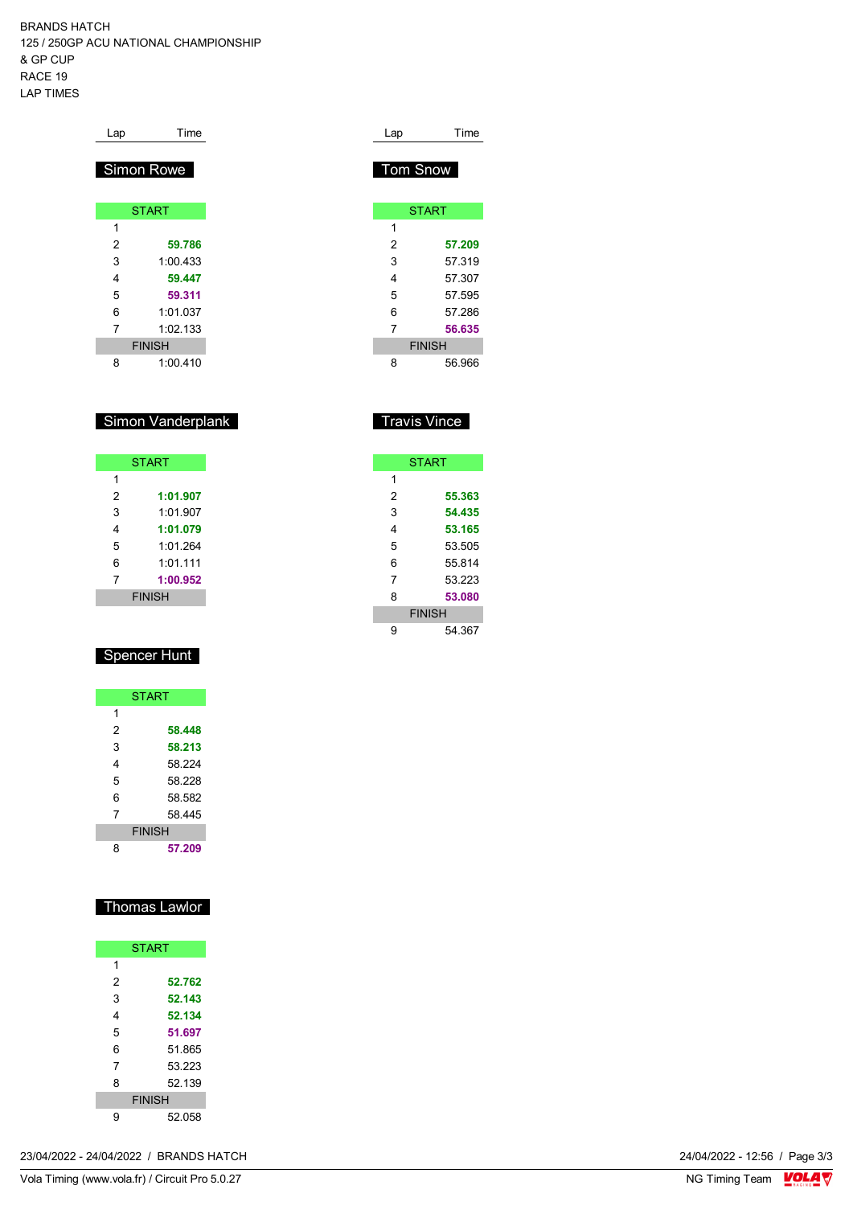BRANDS HATCH 125 / 250GP ACU NATIONAL CHAMPIONSHIP & GP CUP RACE 19 LAP TIMES

| Lap | Time          |
|-----|---------------|
|     | Simon Rowe    |
|     | <b>START</b>  |
| 1   |               |
| 2   | 59.786        |
| 3   | 1:00.433      |
| 4   | 59.447        |
| 5   | 59.311        |
| 6   | 1:01.037      |
| 7   | 1:02.133      |
|     | <b>FINISH</b> |
| 8   | 1:00.410      |

### Simon Vanderplank

|   | <b>START</b>  |
|---|---------------|
| 1 |               |
| 2 | 1:01.907      |
| 3 | 1:01.907      |
| 4 | 1:01.079      |
| 5 | 1:01 264      |
| 6 | 1:01.111      |
| 7 | 1:00.952      |
|   | <b>FINISH</b> |

## Spencer Hunt

|   | <b>START</b>  |
|---|---------------|
| 1 |               |
| 2 | 58.448        |
| 3 | 58.213        |
| 4 | 58 224        |
| 5 | 58 228        |
| 6 | 58.582        |
| 7 | 58 445        |
|   | <b>FINISH</b> |
| 8 | 57.209        |

### Thomas Lawlor

|   | <b>START</b>  |
|---|---------------|
| 1 |               |
| 2 | 52.762        |
| 3 | 52.143        |
| 4 | 52.134        |
| 5 | 51.697        |
| 6 | 51.865        |
| 7 | 53.223        |
| 8 | 52.139        |
|   | <b>FINISH</b> |
| g | 52.058        |

| Lap             | Time          |
|-----------------|---------------|
|                 |               |
| <b>Tom Snow</b> |               |
|                 |               |
|                 | <b>START</b>  |
|                 |               |
| 1               |               |
| 2               | 57.209        |
| 3               | 57.319        |
| 4               | 57.307        |
| 5               | 57.595        |
| 6               | 57.286        |
| 7               | 56.635        |
|                 | <b>FINISH</b> |
| 8               | 56.966        |

## Travis Vince

|   | <b>START</b>  |
|---|---------------|
| 1 |               |
| 2 | 55.363        |
| 3 | 54.435        |
| 4 | 53.165        |
| 5 | 53.505        |
| 6 | 55814         |
| 7 | 53 223        |
| 8 | 53.080        |
|   | <b>FINISH</b> |
| 9 | 54.367        |

24/04/2022 - 12:56 / Page 3/3<br>NG Timing Team  $\frac{\text{VOLA}}{\text{V}}$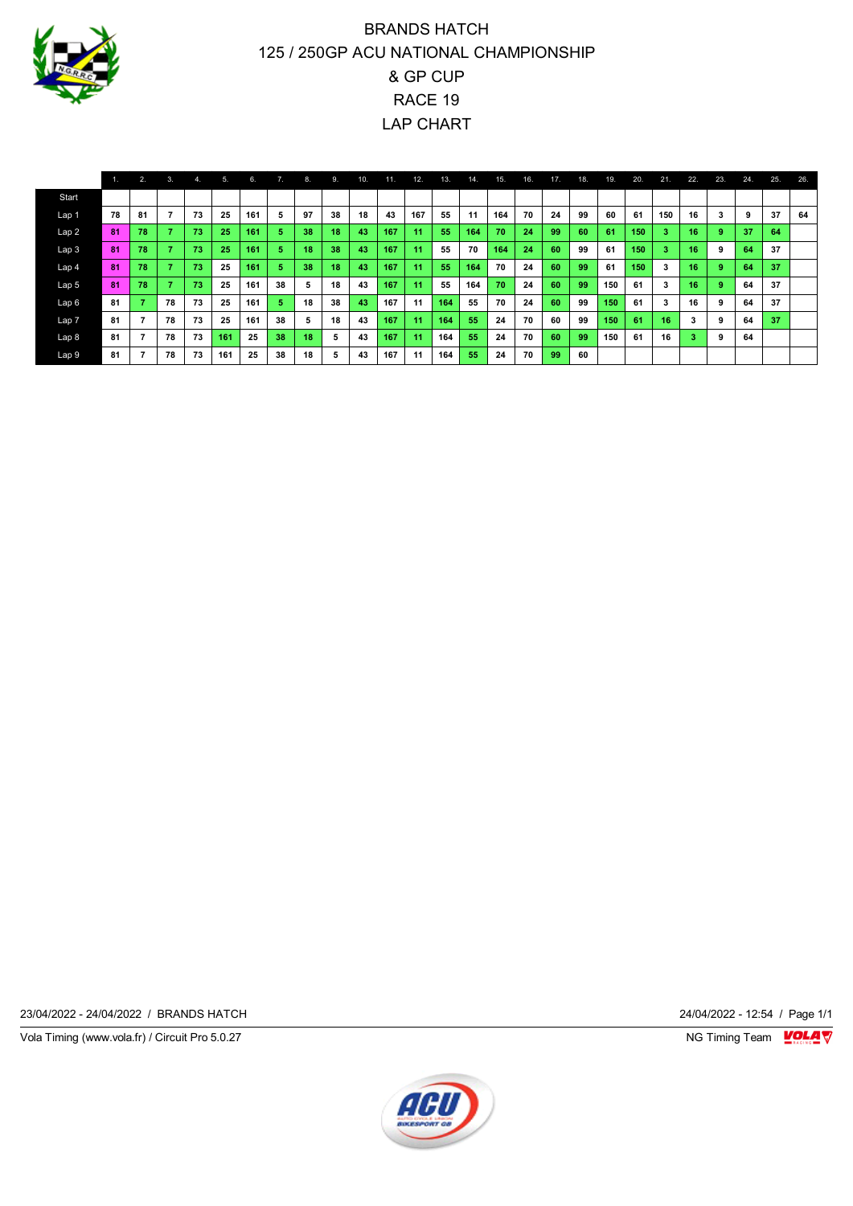

## BRANDS HATCH 125 / 250GP ACU NATIONAL CHAMPIONSHIP & GP CUP RACE 19 LAP CHART

|                  | 1. | 2.5          | 3. | 4. | 5.  | 6.  | 7. | 8. | 9. | 10. | 11. | 12. | 13. | 14. | 15. | 16. | 17. | 18. | 19. | 20. | 21. | 22. | 23. | 24. | 25. | 26. |
|------------------|----|--------------|----|----|-----|-----|----|----|----|-----|-----|-----|-----|-----|-----|-----|-----|-----|-----|-----|-----|-----|-----|-----|-----|-----|
| Start            |    |              |    |    |     |     |    |    |    |     |     |     |     |     |     |     |     |     |     |     |     |     |     |     |     |     |
| Lap <sub>1</sub> | 78 | 81           |    | 73 | 25  | 161 | 5  | 97 | 38 | 18  | 43  | 167 | 55  | 11  | 164 | 70  | 24  | 99  | 60  | 61  | 150 | 16  | 3   |     | 37  | 64  |
| Lap2             | 81 | 78           |    | 73 | 25  | 161 | 5. | 38 | 18 | 43  | 167 | 11  | 55  | 164 | 70  | 24  | 99  | 60  | 61  | 150 | 3   | 16  | 9   | 37  | 64  |     |
| Lap <sub>3</sub> | 81 | 78           |    | 73 | 25  | 161 | 57 | 18 | 38 | 43  | 167 | 11  | 55  | 70  | 164 | 24  | 60  | 99  | 61  | 150 | 3   | 16  | 9   | 64  | 37  |     |
| Lap 4            | 81 | 78           |    | 73 | 25  | 161 | 5. | 38 | 18 | 43  | 167 | 11  | 55  | 164 | 70  | 24  | 60  | 99  | 61  | 150 | 3   | 16  | 9   | 64  | 37  |     |
| Lap <sub>5</sub> | 81 | 78           |    | 73 | 25  | 161 | 38 | ь  | 18 | 43  | 167 | 11  | 55  | 164 | 70  | 24  | 60  | 99  | 150 | 61  | 3   | 16  | 9   | 64  | 37  |     |
| Lap 6            | 81 | $\mathbf{7}$ | 78 | 73 | 25  | 161 | 5  | 18 | 38 | 43  | 167 | 11  | 164 | 55  | 70  | 24  | 60  | 99  | 150 | 61  | 3   | 16  | 9   | 64  | 37  |     |
| Lap 7            | 81 |              | 78 | 73 | 25  | 161 | 38 | 5  | 18 | 43  | 167 | 11  | 164 | 55  | 24  | 70  | 60  | 99  | 150 | 61  | 16  | 3   | 9   | 64  | 37  |     |
| Lap 8            | 81 |              | 78 | 73 | 161 | 25  | 38 | 18 | 5  | 43  | 167 | 11  | 164 | 55  | 24  | 70  | 60  | 99  | 150 | 61  | 16  | з   | 9   | 64  |     |     |
| Lap 9            | 81 | 7            | 78 | 73 | 161 | 25  | 38 | 18 | 5  | 43  | 167 | 11  | 164 | 55  | 24  | 70  | 99  | 60  |     |     |     |     |     |     |     |     |

23/04/2022 - 24/04/2022 / BRANDS HATCH 24/04/2022 - 12:54 / Page 1/1

Vola Timing (www.vola.fr) / Circuit Pro 5.0.27 **NG Timing Team Monet Account Property** 

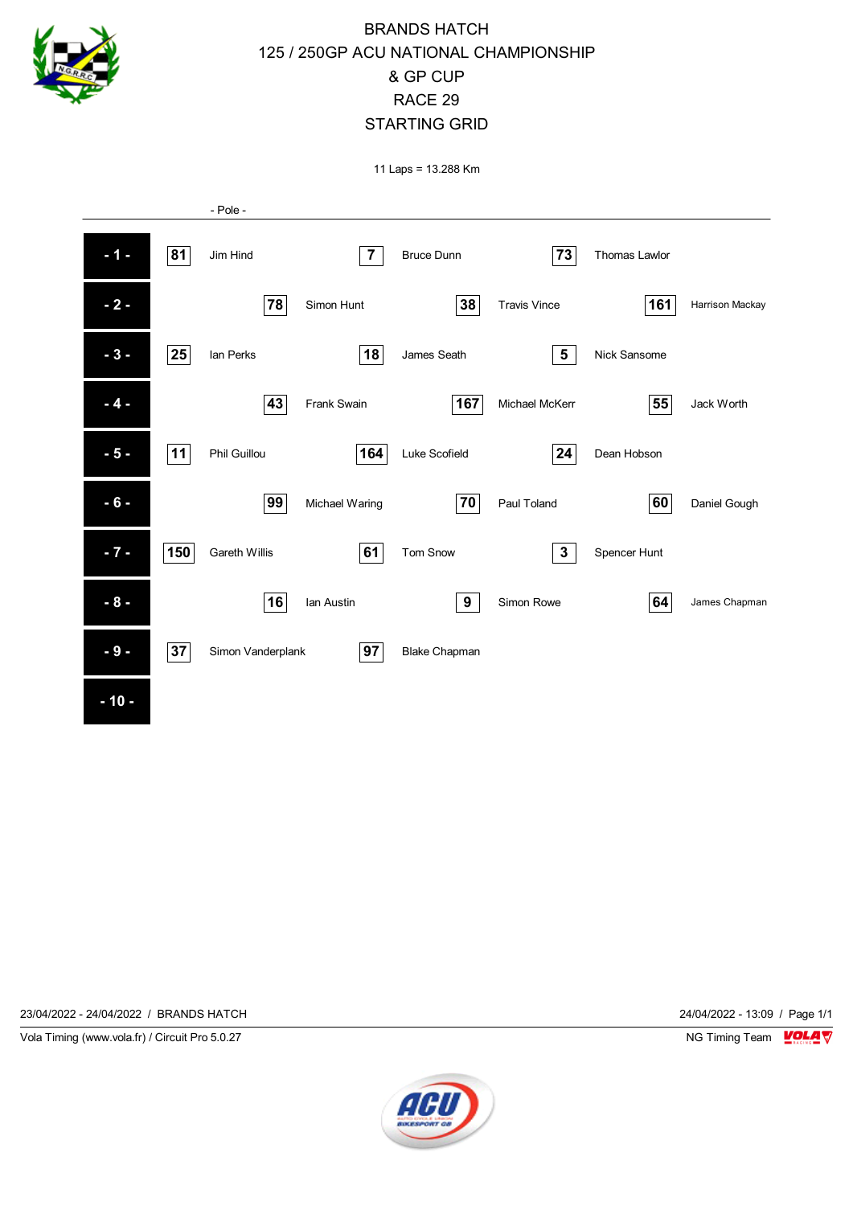

## BRANDS HATCH 125 / 250GP ACU NATIONAL CHAMPIONSHIP & GP CUP RACE 29 STARTING GRID

11 Laps = 13.288 Km



23/04/2022 - 24/04/2022 / BRANDS HATCH 24/04/2022 - 13:09 / Page 1/1

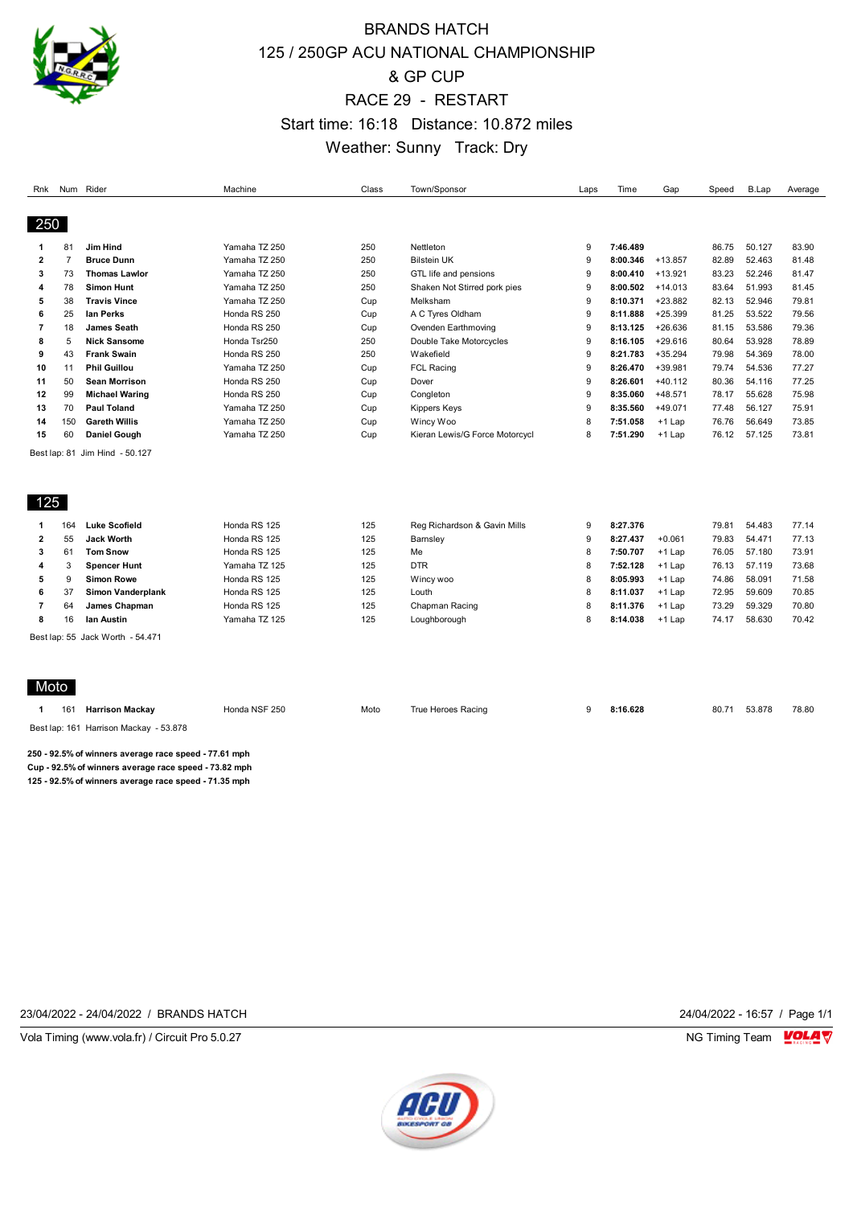

## BRANDS HATCH 125 / 250GP ACU NATIONAL CHAMPIONSHIP & GP CUP RACE 29 - RESTART Start time: 16:18 Distance: 10.872 miles Weather: Sunny Track: Dry

| Rnk            | Num Rider      |                                                     | Machine       | Class | Town/Sponsor                   | Laps | Time     | Gap       | Speed | B.Lap  | Average |
|----------------|----------------|-----------------------------------------------------|---------------|-------|--------------------------------|------|----------|-----------|-------|--------|---------|
|                |                |                                                     |               |       |                                |      |          |           |       |        |         |
| 250            |                |                                                     |               |       |                                |      |          |           |       |        |         |
| 1              | 81             | <b>Jim Hind</b>                                     | Yamaha TZ 250 | 250   | Nettleton                      | 9    | 7:46.489 |           | 86.75 | 50.127 | 83.90   |
| $\overline{2}$ | $\overline{7}$ | <b>Bruce Dunn</b>                                   | Yamaha TZ 250 | 250   | <b>Bilstein UK</b>             | 9    | 8:00.346 | $+13.857$ | 82.89 | 52.463 | 81.48   |
| 3              | 73             | <b>Thomas Lawlor</b>                                | Yamaha TZ 250 | 250   | GTL life and pensions          | 9    | 8:00.410 | $+13.921$ | 83.23 | 52.246 | 81.47   |
| 4              | 78             | <b>Simon Hunt</b>                                   | Yamaha TZ 250 | 250   | Shaken Not Stirred pork pies   | 9    | 8:00.502 | $+14.013$ | 83.64 | 51.993 | 81.45   |
| 5              | 38             | <b>Travis Vince</b>                                 | Yamaha TZ 250 | Cup   | Melksham                       | 9    | 8:10.371 | $+23.882$ | 82.13 | 52.946 | 79.81   |
| 6              | 25             | lan Perks                                           | Honda RS 250  | Cup   | A C Tyres Oldham               | 9    | 8:11.888 | $+25.399$ | 81.25 | 53.522 | 79.56   |
| 7              | 18             | <b>James Seath</b>                                  | Honda RS 250  | Cup   | Ovenden Earthmoving            | 9    | 8:13.125 | $+26.636$ | 81.15 | 53.586 | 79.36   |
| 8              | 5              | <b>Nick Sansome</b>                                 | Honda Tsr250  | 250   | Double Take Motorcycles        | 9    | 8:16.105 | $+29.616$ | 80.64 | 53.928 | 78.89   |
| 9              | 43             | <b>Frank Swain</b>                                  | Honda RS 250  | 250   | Wakefield                      | 9    | 8:21.783 | $+35.294$ | 79.98 | 54.369 | 78.00   |
| 10             | 11             | <b>Phil Guillou</b>                                 | Yamaha TZ 250 | Cup   | <b>FCL Racing</b>              | 9    | 8:26.470 | $+39.981$ | 79.74 | 54.536 | 77.27   |
| 11             | 50             | <b>Sean Morrison</b>                                | Honda RS 250  | Cup   | Dover                          | 9    | 8:26.601 | $+40.112$ | 80.36 | 54.116 | 77.25   |
| 12             | 99             | <b>Michael Waring</b>                               | Honda RS 250  | Cup   | Congleton                      | 9    | 8:35.060 | $+48.571$ | 78.17 | 55.628 | 75.98   |
| 13             | 70             | <b>Paul Toland</b>                                  | Yamaha TZ 250 | Cup   | <b>Kippers Keys</b>            | 9    | 8:35.560 | $+49.071$ | 77.48 | 56.127 | 75.91   |
| 14             | 150            | <b>Gareth Willis</b>                                | Yamaha TZ 250 | Cup   | Wincy Woo                      | 8    | 7:51.058 | $+1$ Lap  | 76.76 | 56.649 | 73.85   |
| 15             | 60             | <b>Daniel Gough</b>                                 | Yamaha TZ 250 | Cup   | Kieran Lewis/G Force Motorcycl | 8    | 7:51.290 | $+1$ Lap  | 76.12 | 57.125 | 73.81   |
| 125            |                |                                                     |               |       |                                |      |          |           |       |        |         |
| 1              | 164            | <b>Luke Scofield</b>                                | Honda RS 125  | 125   | Reg Richardson & Gavin Mills   | 9    | 8:27.376 |           | 79.81 | 54.483 | 77.14   |
| 2              | 55             | <b>Jack Worth</b>                                   | Honda RS 125  | 125   | Barnsley                       | 9    | 8:27.437 | $+0.061$  | 79.83 | 54.471 | 77.13   |
| 3              | 61             | <b>Tom Snow</b>                                     | Honda RS 125  | 125   | Me                             | 8    | 7:50.707 | $+1$ Lap  | 76.05 | 57.180 | 73.91   |
| 4              | 3              | <b>Spencer Hunt</b>                                 | Yamaha TZ 125 | 125   | <b>DTR</b>                     | 8    | 7:52.128 | $+1$ Lap  | 76.13 | 57.119 | 73.68   |
| 5              | 9              | <b>Simon Rowe</b>                                   | Honda RS 125  | 125   | Wincy woo                      | 8    | 8:05.993 | $+1$ Lap  | 74.86 | 58.091 | 71.58   |
| 6              | 37             | <b>Simon Vanderplank</b>                            | Honda RS 125  | 125   | Louth                          | 8    | 8:11.037 | $+1$ Lap  | 72.95 | 59.609 | 70.85   |
| $\overline{7}$ | 64             | James Chapman                                       | Honda RS 125  | 125   | Chapman Racing                 | 8    | 8:11.376 | $+1$ Lap  | 73.29 | 59.329 | 70.80   |
| 8              | 16             | lan Austin                                          | Yamaha TZ 125 | 125   | Loughborough                   | 8    | 8:14.038 | $+1$ Lap  | 74.17 | 58.630 | 70.42   |
|                |                | Best lap: 55 Jack Worth - 54.471                    |               |       |                                |      |          |           |       |        |         |
| Moto           |                |                                                     |               |       |                                |      |          |           |       |        |         |
| 1              | 161            | <b>Harrison Mackay</b>                              | Honda NSF 250 | Moto  | True Heroes Racing             | 9    | 8:16.628 |           | 80.71 | 53.878 | 78.80   |
|                |                | Best lap: 161 Harrison Mackay - 53.878              |               |       |                                |      |          |           |       |        |         |
|                |                | 250. 02.5% of winnors overseas roos anoad 77.64 mph |               |       |                                |      |          |           |       |        |         |

**250 - 92.5% of winners average race speed - 77.61 mph Cup - 92.5% of winners average race speed - 73.82 mph 125 - 92.5% of winners average race speed - 71.35 mph**

23/04/2022 - 24/04/2022 / BRANDS HATCH 24/04/2022 - 16:57 / Page 1/1

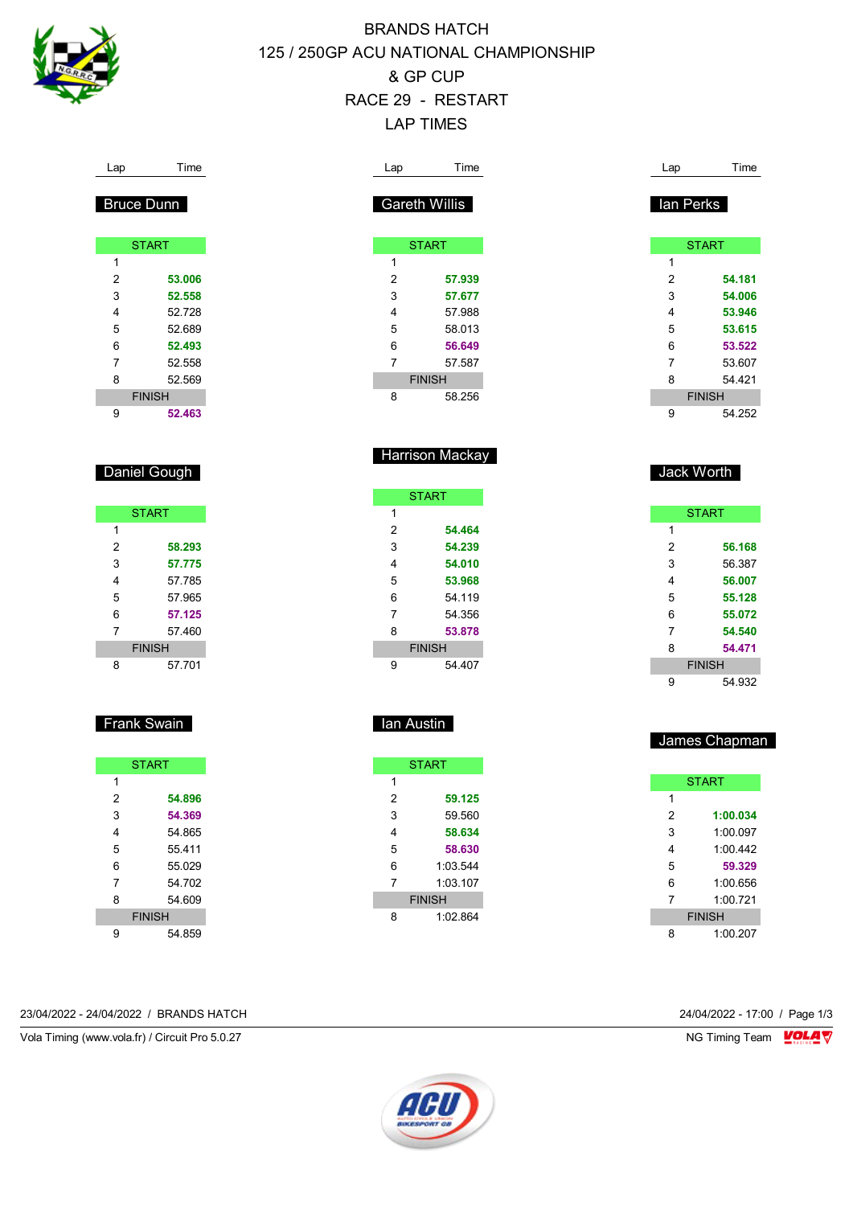

Bruce Dunn

Daniel Gough

Frank Swain

# BRANDS HATCH 125 / 250GP ACU NATIONAL CHAMPIONSHIP & GP CUP RACE 29 - RESTART LAP TIMES

| Lap                       | Time              |
|---------------------------|-------------------|
|                           |                   |
|                           | <b>Bruce Dunn</b> |
|                           |                   |
|                           | <b>START</b>      |
| 1                         |                   |
| 2                         | 53.006            |
| 3                         | 52.558            |
| 4                         | 52.728            |
| 5                         | 52.689            |
| 6                         | 52.493            |
| 7                         | 52.558            |
|                           | 52.569            |
| 8                         | <b>FINISH</b>     |
| 9                         | 52.463            |
|                           |                   |
|                           |                   |
|                           |                   |
|                           | Daniel Gough      |
|                           |                   |
|                           |                   |
|                           | <b>START</b>      |
| $\mathbf{1}$              |                   |
| 2                         | 58.293            |
| 3                         | 57.775            |
| 4                         | 57.785            |
| 5                         | 57.965            |
| 6                         | 57.125            |
| 7                         | 57.460            |
|                           | <b>FINISH</b>     |
| 8                         | 57.701            |
|                           |                   |
|                           |                   |
|                           | Frank Swain       |
|                           |                   |
|                           |                   |
|                           | <b>START</b>      |
| $\mathbf{1}$              |                   |
| $\overline{\mathbf{c}}$   | 54.896            |
| $\ensuremath{\mathsf{3}}$ | 54.369            |
| 4                         | 54.865            |
| 5                         | 55.411            |
| 6                         | 55.029            |
| $\boldsymbol{7}$          | 54.702            |
| 8                         | 54.609            |
|                           | <b>FINISH</b>     |
|                           |                   |
| 9                         | 54.859            |

23/04/2022 - 24/04/2022 / BRANDS HATCH 24/04/2022 - 17:00 / Page 1/3

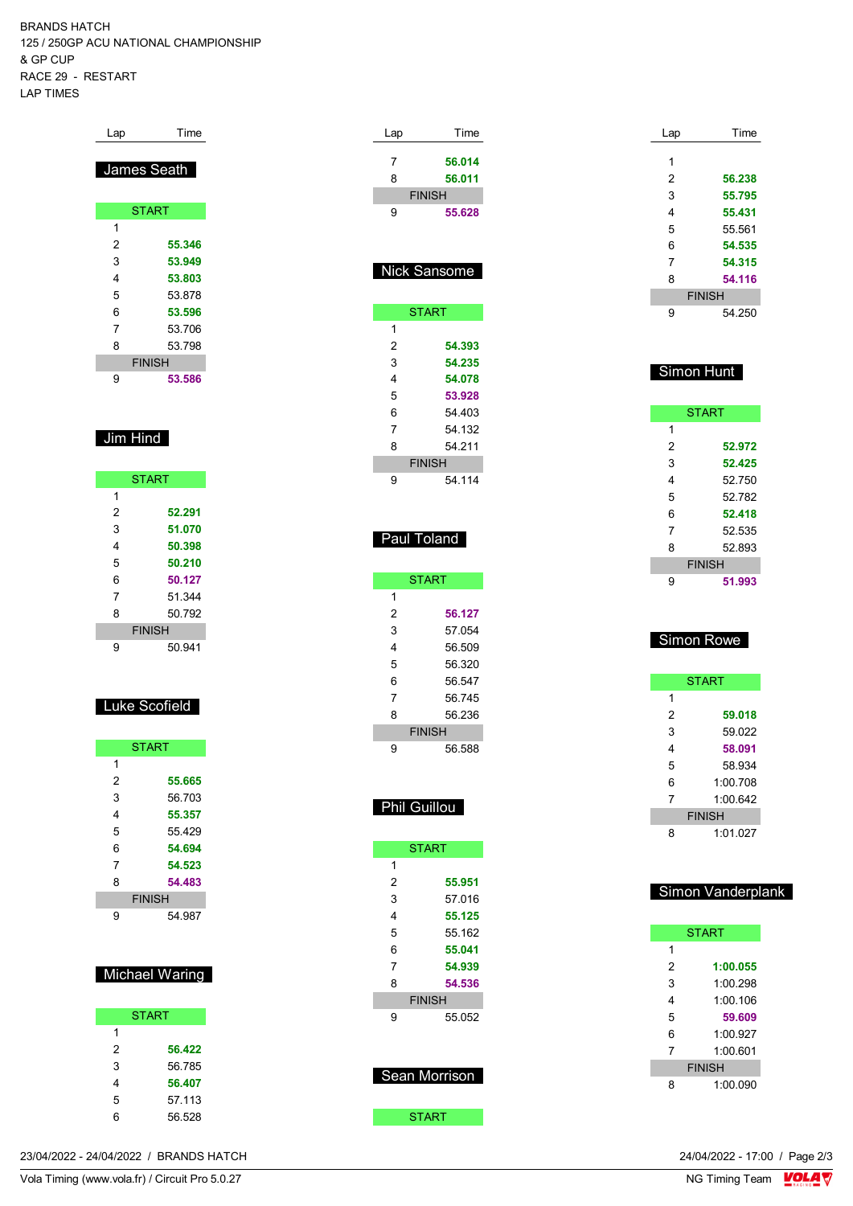BRANDS HATCH 125 / 250GP ACU NATIONAL CHAMPIONSHIP & GP CUP RACE 29 - RESTART LAP TIMES

| Lap         | Time          |  |  |  |  |  |  |
|-------------|---------------|--|--|--|--|--|--|
| James Seath |               |  |  |  |  |  |  |
|             | <b>START</b>  |  |  |  |  |  |  |
|             |               |  |  |  |  |  |  |
| 1           |               |  |  |  |  |  |  |
| 2           | 55.346        |  |  |  |  |  |  |
| 3           | 53.949        |  |  |  |  |  |  |
| 4           | 53.803        |  |  |  |  |  |  |
| 5           | 53878         |  |  |  |  |  |  |
| 6           | 53.596        |  |  |  |  |  |  |
| 7           | 53.706        |  |  |  |  |  |  |
| 8           | 53.798        |  |  |  |  |  |  |
|             | <b>FINISH</b> |  |  |  |  |  |  |
| 9           | 53.586        |  |  |  |  |  |  |

#### Jim Hind

|   | <b>START</b>  |
|---|---------------|
| 1 |               |
| 2 | 52.291        |
| 3 | 51.070        |
| 4 | 50.398        |
| 5 | 50.210        |
| 6 | 50.127        |
| 7 | 51 344        |
| 8 | 50 792        |
|   | <b>FINISH</b> |
| 9 | 50.941        |

#### Luke Scofield

| <b>START</b>  |        |  |  |  |
|---------------|--------|--|--|--|
| 1             |        |  |  |  |
| 2             | 55.665 |  |  |  |
| 3             | 56.703 |  |  |  |
| 4             | 55.357 |  |  |  |
| 5             | 55429  |  |  |  |
| 6             | 54.694 |  |  |  |
| 7             | 54.523 |  |  |  |
| 8             | 54.483 |  |  |  |
| <b>FINISH</b> |        |  |  |  |
| 9             | 54.987 |  |  |  |

#### Michael Waring

| <b>START</b> |        |  |  |  |  |
|--------------|--------|--|--|--|--|
| 1            |        |  |  |  |  |
| 2            | 56.422 |  |  |  |  |
| 3            | 56.785 |  |  |  |  |
| 4            | 56.407 |  |  |  |  |
| 5            | 57.113 |  |  |  |  |
| հ            | 56.528 |  |  |  |  |

| Lap                 | Time             |
|---------------------|------------------|
| 7                   | 56.014           |
| 8                   | 56.011           |
| <b>FINISH</b>       |                  |
| 9                   | 55.628           |
|                     |                  |
|                     |                  |
| Nick Sansome        |                  |
|                     |                  |
| <b>START</b>        |                  |
| 1<br>2              | 54.393           |
| 3                   | 54.235           |
| 4                   | 54.078           |
| 5                   | 53.928           |
| 6                   | 54.403           |
| 7                   | 54.132           |
| 8<br><b>FINISH</b>  | 54.211           |
| 9                   | 54.114           |
|                     |                  |
|                     |                  |
| Paul Toland         |                  |
|                     |                  |
| <b>START</b>        |                  |
| 1                   |                  |
| 2                   | 56.127           |
| 3                   | 57.054           |
| 4<br>5              | 56.509<br>56.320 |
| 6                   | 56.547           |
| 7                   | 56.745           |
| 8                   | 56.236           |
| <b>FINISH</b>       |                  |
| 9                   | 56.588           |
|                     |                  |
| <b>Phil Guillou</b> |                  |
|                     |                  |
| <b>START</b>        |                  |
| 1                   |                  |
| $\overline{2}$      | 55.951           |
| 3                   | 57.016           |
| 4                   | 55.125           |
| 5                   | 55.162           |
| 6<br>7              | 55.041<br>54.939 |
| 8                   | 54.536           |
| <b>FINISH</b>       |                  |
| 9                   | 55.052           |
|                     |                  |
|                     |                  |
| Sean Morrison       |                  |
|                     |                  |
| <b>START</b>        |                  |

| Lap | Time          |
|-----|---------------|
| 1   |               |
|     |               |
| 2   | 56.238        |
| 3   | 55.795        |
| 4   | 55.431        |
| 5   | 55.561        |
| 6   | 54.535        |
| 7   | 54.315        |
| 8   | 54.116        |
|     | <b>FINISH</b> |
| 9   | 54 250        |
|     |               |

#### Simon Hunt

| <b>START</b>  |        |  |  |  |
|---------------|--------|--|--|--|
| 1             |        |  |  |  |
| 2             | 52.972 |  |  |  |
| 3             | 52.425 |  |  |  |
| 4             | 52.750 |  |  |  |
| 5             | 52782  |  |  |  |
| 6             | 52.418 |  |  |  |
| 7             | 52 535 |  |  |  |
| 8             | 52.893 |  |  |  |
| <b>FINISH</b> |        |  |  |  |
| 9             | 51.993 |  |  |  |

## Simon Rowe

|   | <b>START</b>  |
|---|---------------|
| 1 |               |
| 2 | 59.018        |
| 3 | 59.022        |
| 4 | 58.091        |
| 5 | 58 934        |
| 6 | 1:00.708      |
| 7 | 1:00 642      |
|   | <b>FINISH</b> |
| ឧ | 1:01.027      |

## Simon Vanderplank

| <b>START</b>  |          |  |  |  |
|---------------|----------|--|--|--|
| 1             |          |  |  |  |
| 2             | 1:00.055 |  |  |  |
| 3             | 1:00.298 |  |  |  |
| 4             | 1:00 106 |  |  |  |
| 5             | 59.609   |  |  |  |
| 6             | 1:00.927 |  |  |  |
| 7             | 1:00 601 |  |  |  |
| <b>FINISH</b> |          |  |  |  |
| я             | 1:00.090 |  |  |  |

23/04/2022 - 24/04/2022 / BRANDS HATCH

Vola Timing (www.vola.fr) / Circuit Pro 5.0.27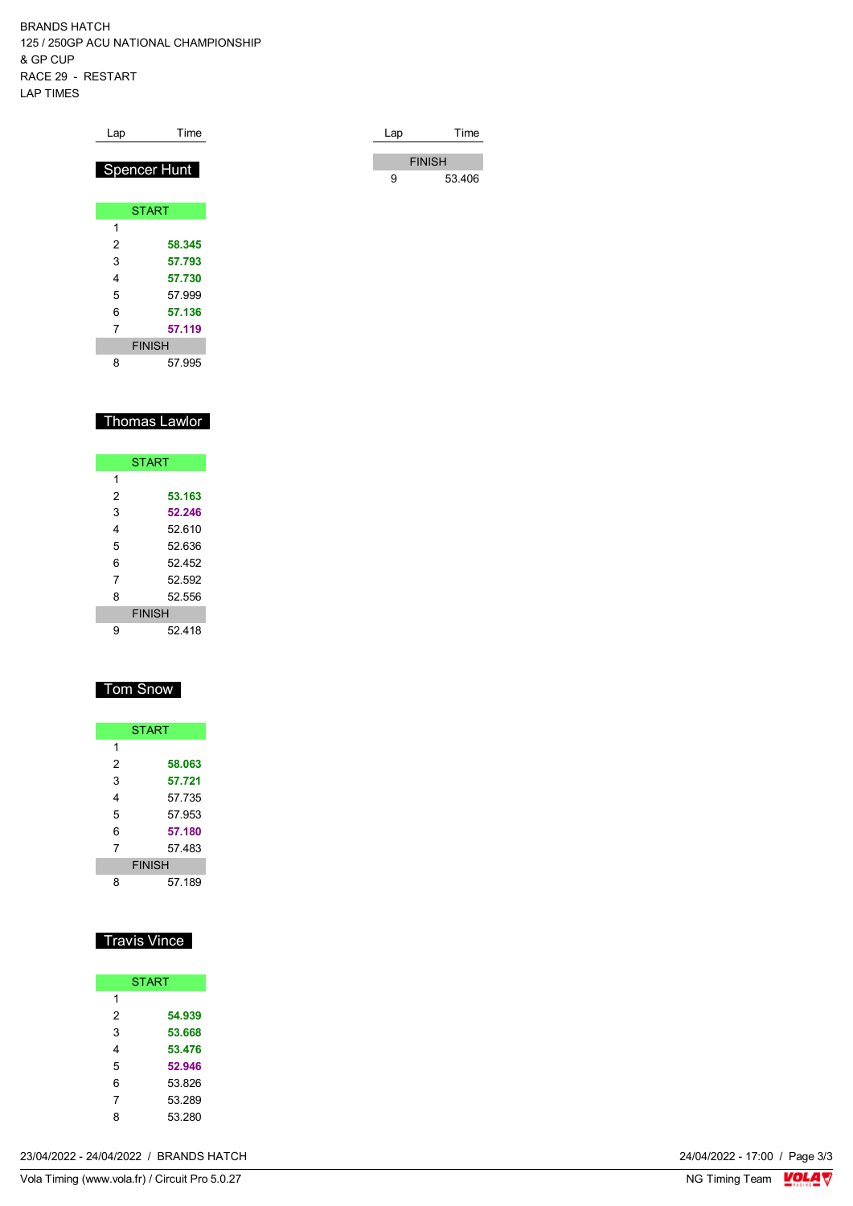BRANDS HATCH 125 / 250GP ACU NATIONAL CHAMPIONSHIP & GP CUP RACE 29 - RESTART LAP TIMES

| Lap            | Time                | Lap | Time          |
|----------------|---------------------|-----|---------------|
|                | <b>Spencer Hunt</b> |     | <b>FINISH</b> |
|                |                     | 9   | 53.406        |
|                | <b>START</b>        |     |               |
| 1              |                     |     |               |
| $\overline{2}$ | 58.345              |     |               |
| 3              | 57.793              |     |               |
| 4              | 57.730              |     |               |
| 5              | 57.999              |     |               |
| 6              | 57.136              |     |               |
| 7              | 57.119              |     |               |
|                | <b>FINISH</b>       |     |               |

## Thomas Lawlor

57.995

| <b>START</b>  |        |  |  |  |  |  |  |  |  |  |  |
|---------------|--------|--|--|--|--|--|--|--|--|--|--|
| 1             |        |  |  |  |  |  |  |  |  |  |  |
| 2             | 53.163 |  |  |  |  |  |  |  |  |  |  |
| 3             | 52.246 |  |  |  |  |  |  |  |  |  |  |
| 4             | 52.610 |  |  |  |  |  |  |  |  |  |  |
| 5             | 52.636 |  |  |  |  |  |  |  |  |  |  |
| 6             | 52 452 |  |  |  |  |  |  |  |  |  |  |
| 7             | 52.592 |  |  |  |  |  |  |  |  |  |  |
| 8             | 52.556 |  |  |  |  |  |  |  |  |  |  |
| <b>FINISH</b> |        |  |  |  |  |  |  |  |  |  |  |
| 9             | 52 418 |  |  |  |  |  |  |  |  |  |  |

### Tom Snow

| <b>START</b>  |        |  |  |  |  |  |  |  |  |
|---------------|--------|--|--|--|--|--|--|--|--|
| 1             |        |  |  |  |  |  |  |  |  |
| 2             | 58.063 |  |  |  |  |  |  |  |  |
| 3             | 57.721 |  |  |  |  |  |  |  |  |
| 4             | 57.735 |  |  |  |  |  |  |  |  |
| 5             | 57 953 |  |  |  |  |  |  |  |  |
| 6             | 57.180 |  |  |  |  |  |  |  |  |
| 7             | 57 483 |  |  |  |  |  |  |  |  |
| <b>FINISH</b> |        |  |  |  |  |  |  |  |  |
| 8             | 57 189 |  |  |  |  |  |  |  |  |

## Travis Vince

| <b>START</b> |        |  |  |  |  |  |  |  |
|--------------|--------|--|--|--|--|--|--|--|
| 1            |        |  |  |  |  |  |  |  |
| 2            | 54.939 |  |  |  |  |  |  |  |
| 3            | 53.668 |  |  |  |  |  |  |  |
| 4            | 53.476 |  |  |  |  |  |  |  |
| 5            | 52.946 |  |  |  |  |  |  |  |
| 6            | 53.826 |  |  |  |  |  |  |  |
| 7            | 53.289 |  |  |  |  |  |  |  |
| 8            | 53.280 |  |  |  |  |  |  |  |

23/04/2022 - 24/04/2022 / BRANDS HATCH